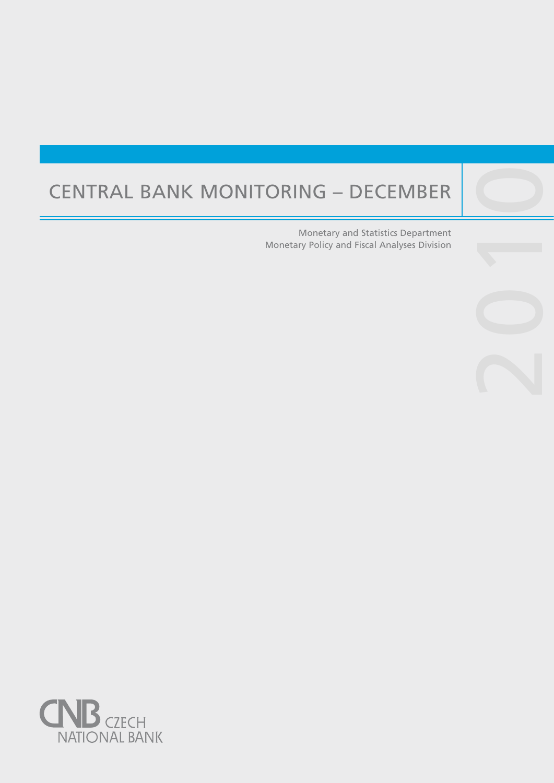# Central Bank Monitoring – December

Central banks are not universities and one would

purpose, such as, to lay the ground for the satisfac-

Monetary and Statistics Department Monetary Policy and Fiscal Analyses Division 2010

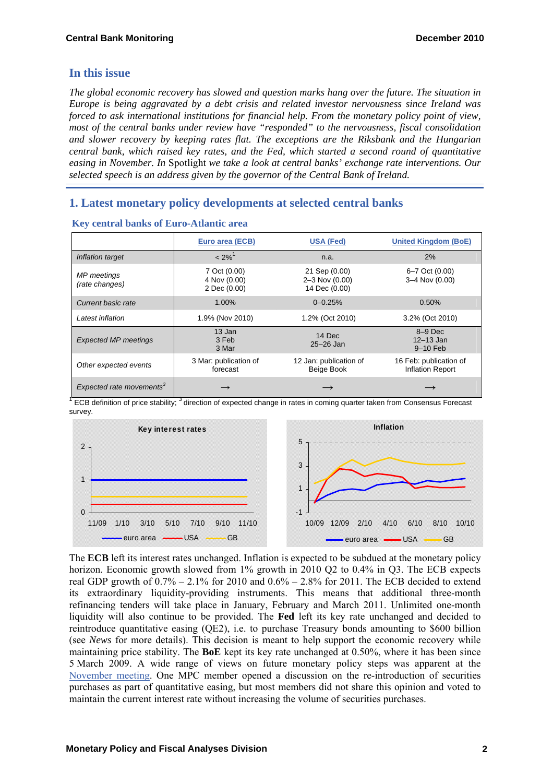# **In this issue**

*The global economic recovery has slowed and question marks hang over the future. The situation in Europe is being aggravated by a debt crisis and related investor nervousness since Ireland was forced to ask international institutions for financial help. From the monetary policy point of view, most of the central banks under review have "responded" to the nervousness, fiscal consolidation and slower recovery by keeping rates flat. The exceptions are the Riksbank and the Hungarian central bank, which raised key rates, and the Fed, which started a second round of quantitative easing in November. In* Spotlight *we take a look at central banks' exchange rate interventions. Our selected speech is an address given by the governor of the Central Bank of Ireland.* 

# **1. Latest monetary policy developments at selected central banks**

|                                      | Euro area (ECB)                              | <b>USA (Fed)</b>                                       | <b>United Kingdom (BoE)</b>                       |
|--------------------------------------|----------------------------------------------|--------------------------------------------------------|---------------------------------------------------|
| Inflation target                     | $< 2\%$ <sup>1</sup>                         | n.a.                                                   | 2%                                                |
| <b>MP</b> meetings<br>(rate changes) | 7 Oct (0.00)<br>4 Nov (0.00)<br>2 Dec (0.00) | 21 Sep (0.00)<br>$2 - 3$ Nov $(0.00)$<br>14 Dec (0.00) | 6-7 Oct (0.00)<br>3-4 Nov (0.00)                  |
| Current basic rate                   | 1.00%                                        | $0 - 0.25%$                                            | 0.50%                                             |
| Latest inflation                     | 1.9% (Nov 2010)                              | 1.2% (Oct 2010)                                        | 3.2% (Oct 2010)                                   |
| <b>Expected MP meetings</b>          | 13 Jan<br>3 Feb<br>3 Mar                     | 14 Dec<br>$25 - 26$ Jan                                | $8-9$ Dec<br>$12 - 13$ Jan<br>$9-10$ Feb          |
| Other expected events                | 3 Mar: publication of<br>forecast            | 12 Jan: publication of<br>Beige Book                   | 16 Feb: publication of<br><b>Inflation Report</b> |
| Expected rate movements <sup>3</sup> | $\rightarrow$                                |                                                        |                                                   |

#### **Key central banks of Euro-Atlantic area**

<sup>1</sup> ECB definition of price stability; <sup>3</sup> direction of expected change in rates in coming quarter taken from Consensus Forecast survey.



The **ECB** left its interest rates unchanged. Inflation is expected to be subdued at the monetary policy horizon. Economic growth slowed from 1% growth in 2010 Q2 to 0.4% in Q3. The ECB expects real GDP growth of  $0.7\% - 2.1\%$  for 2010 and  $0.6\% - 2.8\%$  for 2011. The ECB decided to extend its extraordinary liquidity-providing instruments. This means that additional three-month refinancing tenders will take place in January, February and March 2011. Unlimited one-month liquidity will also continue to be provided. The **Fed** left its key rate unchanged and decided to reintroduce quantitative easing (QE2), i.e. to purchase Treasury bonds amounting to \$600 billion (see *News* for more details). This decision is meant to help support the economic recovery while maintaining price stability. The **BoE** kept its key rate unchanged at 0.50%, where it has been since 5 March 2009. A wide range of views on future monetary policy steps was apparent at the [November meeting](http://www.bankofengland.co.uk/publications/minutes/mpc/pdf/2010/mpc1011.pdf). One MPC member opened a discussion on the re-introduction of securities purchases as part of quantitative easing, but most members did not share this opinion and voted to maintain the current interest rate without increasing the volume of securities purchases.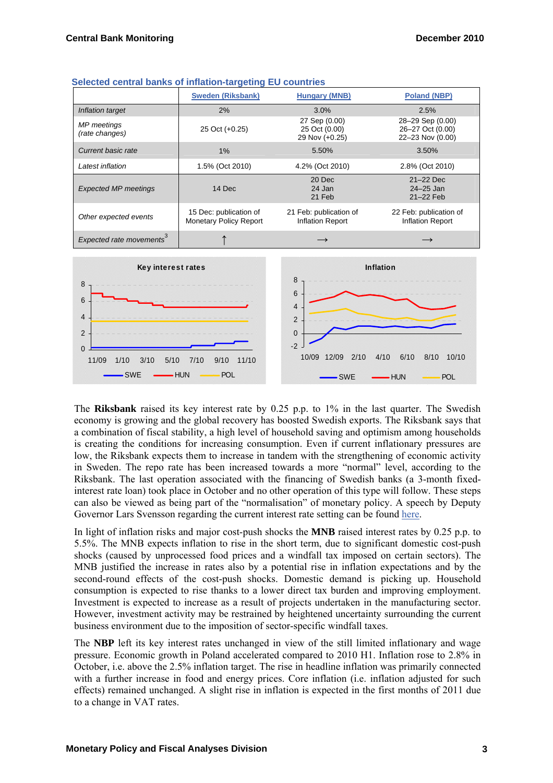|                                      | <b>Sweden (Riksbank)</b>                                | <b>Hungary (MNB)</b>                              | <b>Poland (NBP)</b>                                      |
|--------------------------------------|---------------------------------------------------------|---------------------------------------------------|----------------------------------------------------------|
| Inflation target                     | 2%                                                      | $3.0\%$                                           | 2.5%                                                     |
| MP meetings<br>(rate changes)        | 25 Oct (+0.25)                                          | 27 Sep (0.00)<br>25 Oct (0.00)<br>29 Nov (+0.25)  | 28-29 Sep (0.00)<br>26-27 Oct (0.00)<br>22-23 Nov (0.00) |
| Current basic rate                   | $1\%$                                                   | 5.50%                                             | 3.50%                                                    |
| Latest inflation                     | 1.5% (Oct 2010)                                         | 4.2% (Oct 2010)                                   | 2.8% (Oct 2010)                                          |
| <b>Expected MP meetings</b>          | 14 Dec                                                  | 20 Dec<br>24 Jan<br>21 Feb                        | $21-22$ Dec<br>$24 - 25$ Jan<br>21-22 Feb                |
| Other expected events                | 15 Dec: publication of<br><b>Monetary Policy Report</b> | 21 Feb: publication of<br><b>Inflation Report</b> | 22 Feb: publication of<br><b>Inflation Report</b>        |
| Expected rate movements <sup>3</sup> |                                                         |                                                   |                                                          |



The **Riksbank** raised its key interest rate by 0.25 p.p. to 1% in the last quarter. The Swedish economy is growing and the global recovery has boosted Swedish exports. The Riksbank says that a combination of fiscal stability, a high level of household saving and optimism among households is creating the conditions for increasing consumption. Even if current inflationary pressures are low, the Riksbank expects them to increase in tandem with the strengthening of economic activity in Sweden. The repo rate has been increased towards a more "normal" level, according to the Riksbank. The last operation associated with the financing of Swedish banks (a 3-month fixedinterest rate loan) took place in October and no other operation of this type will follow. These steps can also be viewed as being part of the "normalisation" of monetary policy. A speech by Deputy Governor Lars Svensson regarding the current interest rate setting can be found [here](http://www.riksbank.com/upload/Dokument_riksbank/Kat_publicerat/Tal/2010/101124e.pdf).

In light of inflation risks and major cost-push shocks the **MNB** raised interest rates by 0.25 p.p. to 5.5%. The MNB expects inflation to rise in the short term, due to significant domestic cost-push shocks (caused by unprocessed food prices and a windfall tax imposed on certain sectors). The MNB justified the increase in rates also by a potential rise in inflation expectations and by the second-round effects of the cost-push shocks. Domestic demand is picking up. Household consumption is expected to rise thanks to a lower direct tax burden and improving employment. Investment is expected to increase as a result of projects undertaken in the manufacturing sector. However, investment activity may be restrained by heightened uncertainty surrounding the current business environment due to the imposition of sector-specific windfall taxes.

The **NBP** left its key interest rates unchanged in view of the still limited inflationary and wage pressure. Economic growth in Poland accelerated compared to 2010 H1. Inflation rose to 2.8% in October, i.e. above the 2.5% inflation target. The rise in headline inflation was primarily connected with a further increase in food and energy prices. Core inflation (i.e. inflation adjusted for such effects) remained unchanged. A slight rise in inflation is expected in the first months of 2011 due to a change in VAT rates.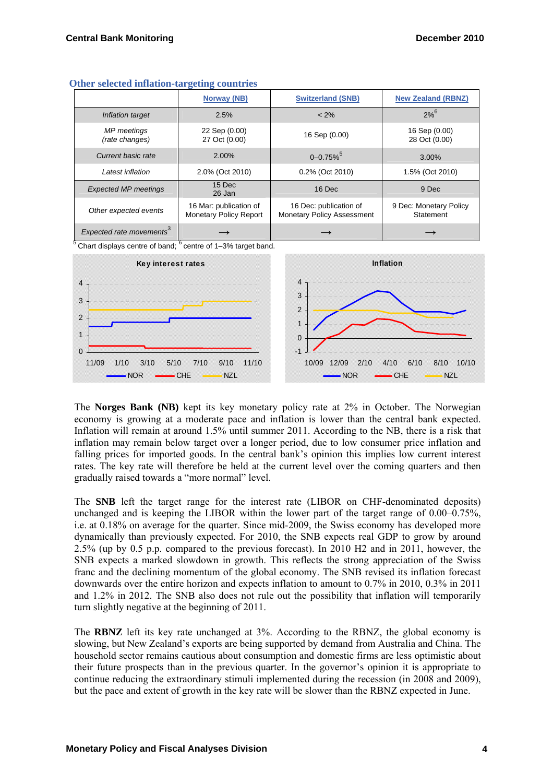|                                      | Norway (NB)                                      | <b>Switzerland (SNB)</b>                             | <b>New Zealand (RBNZ)</b>           |
|--------------------------------------|--------------------------------------------------|------------------------------------------------------|-------------------------------------|
| Inflation target                     | 2.5%                                             | $< 2\%$                                              | $2\%$ <sup>6</sup>                  |
| <b>MP</b> meetings<br>(rate changes) | 22 Sep (0.00)<br>27 Oct (0.00)                   | 16 Sep (0.00)                                        | 16 Sep (0.00)<br>28 Oct (0.00)      |
| Current basic rate                   | 2.00%                                            | $0 - 0.75\%$                                         | $3.00\%$                            |
| Latest inflation                     | 2.0% (Oct 2010)                                  | 0.2% (Oct 2010)                                      | 1.5% (Oct 2010)                     |
| <b>Expected MP meetings</b>          | 15 Dec<br>26 Jan                                 | 16 Dec                                               | 9 Dec                               |
| Other expected events                | 16 Mar: publication of<br>Monetary Policy Report | 16 Dec: publication of<br>Monetary Policy Assessment | 9 Dec: Monetary Policy<br>Statement |
| Expected rate movements <sup>3</sup> |                                                  |                                                      |                                     |

| <b>Other selected inflation-targeting countries</b> |  |
|-----------------------------------------------------|--|
|-----------------------------------------------------|--|

 $5$  Chart displays centre of band;  $6$  centre of 1-3% target band.



The **Norges Bank (NB)** kept its key monetary policy rate at 2% in October. The Norwegian economy is growing at a moderate pace and inflation is lower than the central bank expected. Inflation will remain at around 1.5% until summer 2011. According to the NB, there is a risk that inflation may remain below target over a longer period, due to low consumer price inflation and falling prices for imported goods. In the central bank's opinion this implies low current interest rates. The key rate will therefore be held at the current level over the coming quarters and then gradually raised towards a "more normal" level.

The **SNB** left the target range for the interest rate (LIBOR on CHF-denominated deposits) unchanged and is keeping the LIBOR within the lower part of the target range of 0.00–0.75%, i.e. at 0.18% on average for the quarter. Since mid-2009, the Swiss economy has developed more dynamically than previously expected. For 2010, the SNB expects real GDP to grow by around 2.5% (up by 0.5 p.p. compared to the previous forecast). In 2010 H2 and in 2011, however, the SNB expects a marked slowdown in growth. This reflects the strong appreciation of the Swiss franc and the declining momentum of the global economy. The SNB revised its inflation forecast downwards over the entire horizon and expects inflation to amount to 0.7% in 2010, 0.3% in 2011 and 1.2% in 2012. The SNB also does not rule out the possibility that inflation will temporarily turn slightly negative at the beginning of 2011.

The **RBNZ** left its key rate unchanged at 3%. According to the RBNZ, the global economy is slowing, but New Zealand's exports are being supported by demand from Australia and China. The household sector remains cautious about consumption and domestic firms are less optimistic about their future prospects than in the previous quarter. In the governor's opinion it is appropriate to continue reducing the extraordinary stimuli implemented during the recession (in 2008 and 2009), but the pace and extent of growth in the key rate will be slower than the RBNZ expected in June.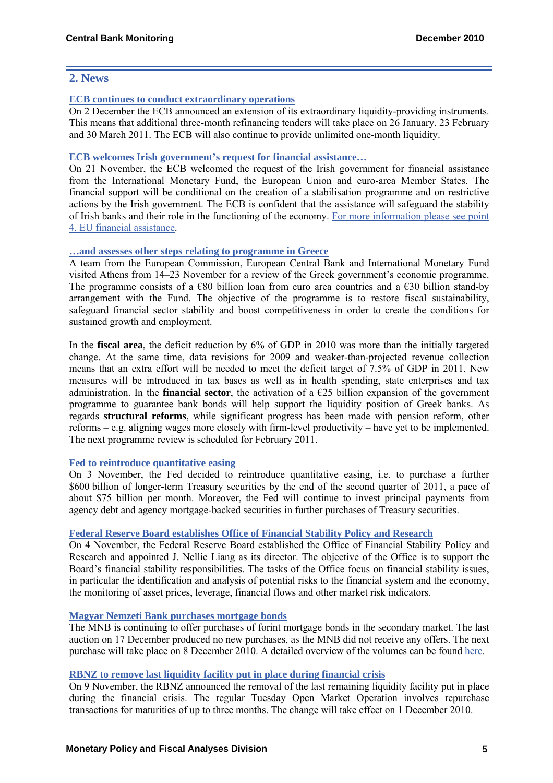## **2. News**

#### **[ECB continues to conduct extraordinary operations](http://www.ecb.europa.eu/press/pr/date/2010/html/pr101202_1.en.html)**

On 2 December the ECB announced an extension of its extraordinary liquidity-providing instruments. This means that additional three-month refinancing tenders will take place on 26 January, 23 February and 30 March 2011. The ECB will also continue to provide unlimited one-month liquidity.

#### **[ECB welcomes Irish government's request for financial assistance…](http://www.ecb.europa.eu/press/pr/date/2010/html/pr101121.en.html)**

On 21 November, the ECB welcomed the request of the Irish government for financial assistance from the International Monetary Fund, the European Union and euro-area Member States. The financial support will be conditional on the creation of a stabilisation programme and on restrictive actions by the Irish government. The ECB is confident that the assistance will safeguard the stability of Irish banks and their role in the functioning of the economy. [For more information please see point](http://ec.europa.eu/economy_finance/eu/countries/ireland_en.htm)  [4. EU financial assistance.](http://ec.europa.eu/economy_finance/eu/countries/ireland_en.htm)

## **[…and assesses other steps relating to programme in Greece](http://www.ecb.europa.eu/press/pr/date/2010/html/pr101123.en.html)**

A team from the European Commission, European Central Bank and International Monetary Fund visited Athens from 14–23 November for a review of the Greek government's economic programme. The programme consists of a  $\epsilon$ 80 billion loan from euro area countries and a  $\epsilon$ 30 billion stand-by arrangement with the Fund. The objective of the programme is to restore fiscal sustainability, safeguard financial sector stability and boost competitiveness in order to create the conditions for sustained growth and employment.

In the **fiscal area**, the deficit reduction by 6% of GDP in 2010 was more than the initially targeted change. At the same time, data revisions for 2009 and weaker-than-projected revenue collection means that an extra effort will be needed to meet the deficit target of 7.5% of GDP in 2011. New measures will be introduced in tax bases as well as in health spending, state enterprises and tax administration. In the **financial sector**, the activation of a  $\epsilon$ 25 billion expansion of the government programme to guarantee bank bonds will help support the liquidity position of Greek banks. As regards **structural reforms**, while significant progress has been made with pension reform, other reforms – e.g. aligning wages more closely with firm-level productivity – have yet to be implemented. The next programme review is scheduled for February 2011.

#### **[Fed to reintroduce quantitative easing](http://www.federalreserve.gov/newsevents/press/monetary/20101103a.htm)**

On 3 November, the Fed decided to reintroduce quantitative easing, i.e. to purchase a further \$600 billion of longer-term Treasury securities by the end of the second quarter of 2011, a pace of about \$75 billion per month. Moreover, the Fed will continue to invest principal payments from agency debt and agency mortgage-backed securities in further purchases of Treasury securities.

## **[Federal Reserve Board establishes Office of Financial Stability Policy and Research](http://www.federalreserve.gov/newsevents/press/other/20101104a.htm)**

On 4 November, the Federal Reserve Board established the Office of Financial Stability Policy and Research and appointed J. Nellie Liang as its director. The objective of the Office is to support the Board's financial stability responsibilities. The tasks of the Office focus on financial stability issues, in particular the identification and analysis of potential risks to the financial system and the economy, the monitoring of asset prices, leverage, financial flows and other market risk indicators.

#### **[Magyar Nemzeti Bank purchases mortgage bonds](http://english.mnb.hu/Sajtoszoba/online/mnben_pressreleases/mnben_pressreleases_2010/mnben_kozlemeny_20101117_2)**

The MNB is continuing to offer purchases of forint mortgage bonds in the secondary market. The last auction on 17 December produced no new purchases, as the MNB did not receive any offers. The next purchase will take place on 8 December 2010. A detailed overview of the volumes can be found [here](http://english.mnb.hu/Root/Dokumentumtar/MNB/Monetaris_politika/mnbhu_eszkoztar/mnbhu_eszkoztar_tenderek/mnbhu_jelzaloglevel_vasarlasi_program/Jegybanki_masodpiaci_jelzaloglevel_vasarlas.xls).

#### **[RBNZ to remove last liquidity facility put in place during financial crisis](http://www.rbnz.govt.nz/news/2010/4219881.html)**

On 9 November, the RBNZ announced the removal of the last remaining liquidity facility put in place during the financial crisis. The regular Tuesday Open Market Operation involves repurchase transactions for maturities of up to three months. The change will take effect on 1 December 2010.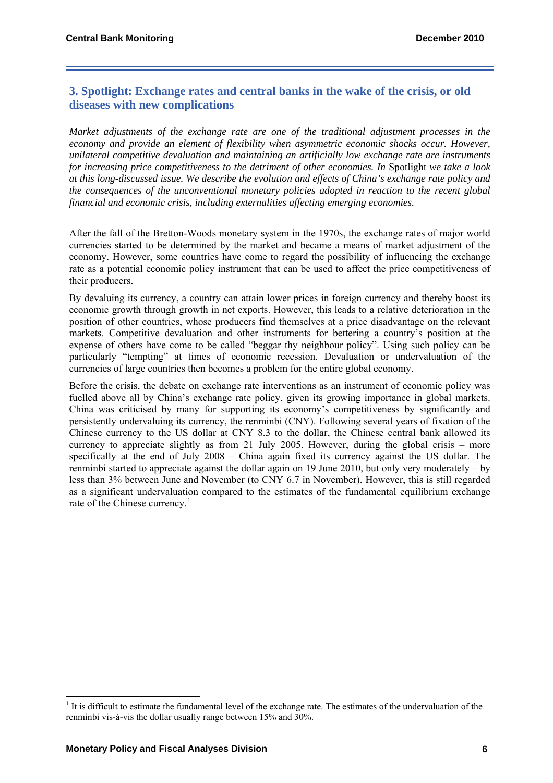# **3. Spotlight: Exchange rates and central banks in the wake of the crisis, or old diseases with new complications**

*Market adjustments of the exchange rate are one of the traditional adjustment processes in the economy and provide an element of flexibility when asymmetric economic shocks occur. However, unilateral competitive devaluation and maintaining an artificially low exchange rate are instruments for increasing price competitiveness to the detriment of other economies. In* Spotlight *we take a look at this long-discussed issue. We describe the evolution and effects of China's exchange rate policy and the consequences of the unconventional monetary policies adopted in reaction to the recent global financial and economic crisis, including externalities affecting emerging economies.* 

After the fall of the Bretton-Woods monetary system in the 1970s, the exchange rates of major world currencies started to be determined by the market and became a means of market adjustment of the economy. However, some countries have come to regard the possibility of influencing the exchange rate as a potential economic policy instrument that can be used to affect the price competitiveness of their producers.

By devaluing its currency, a country can attain lower prices in foreign currency and thereby boost its economic growth through growth in net exports. However, this leads to a relative deterioration in the position of other countries, whose producers find themselves at a price disadvantage on the relevant markets. Competitive devaluation and other instruments for bettering a country's position at the expense of others have come to be called "beggar thy neighbour policy". Using such policy can be particularly "tempting" at times of economic recession. Devaluation or undervaluation of the currencies of large countries then becomes a problem for the entire global economy.

Before the crisis, the debate on exchange rate interventions as an instrument of economic policy was fuelled above all by China's exchange rate policy, given its growing importance in global markets. China was criticised by many for supporting its economy's competitiveness by significantly and persistently undervaluing its currency, the renminbi (CNY). Following several years of fixation of the Chinese currency to the US dollar at CNY 8.3 to the dollar, the Chinese central bank allowed its currency to appreciate slightly as from 21 July 2005. However, during the global crisis – more specifically at the end of July 2008 – China again fixed its currency against the US dollar. The renminbi started to appreciate against the dollar again on 19 June 2010, but only very moderately – by less than 3% between June and November (to CNY 6.7 in November). However, this is still regarded as a significant undervaluation compared to the estimates of the fundamental equilibrium exchange rate of the Chinese currency.<sup>[1](#page-5-0)</sup>

 $\overline{a}$ 

<span id="page-5-0"></span> $<sup>1</sup>$  It is difficult to estimate the fundamental level of the exchange rate. The estimates of the undervaluation of the</sup> renminbi vis-à-vis the dollar usually range between 15% and 30%.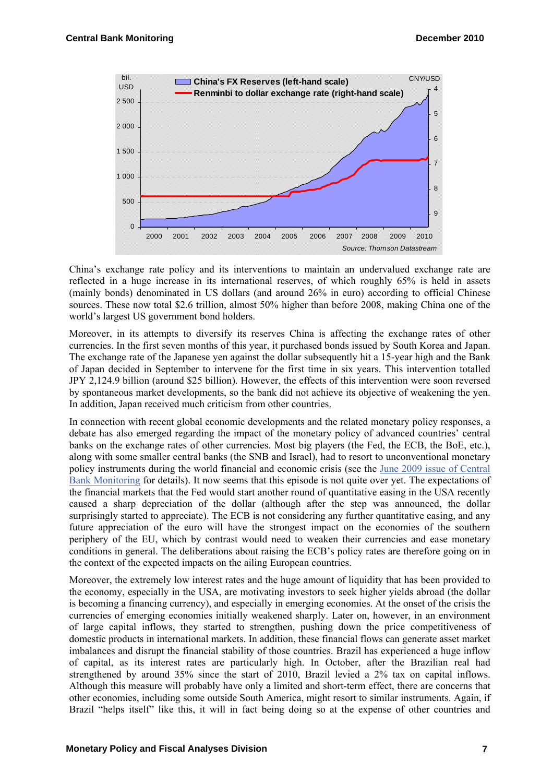

China's exchange rate policy and its interventions to maintain an undervalued exchange rate are reflected in a huge increase in its international reserves, of which roughly 65% is held in assets (mainly bonds) denominated in US dollars (and around 26% in euro) according to official Chinese sources. These now total \$2.6 trillion, almost 50% higher than before 2008, making China one of the world's largest US government bond holders.

Moreover, in its attempts to diversify its reserves China is affecting the exchange rates of other currencies. In the first seven months of this year, it purchased bonds issued by South Korea and Japan. The exchange rate of the Japanese yen against the dollar subsequently hit a 15-year high and the Bank of Japan decided in September to intervene for the first time in six years. This intervention totalled JPY 2,124.9 billion (around \$25 billion). However, the effects of this intervention were soon reversed by spontaneous market developments, so the bank did not achieve its objective of weakening the yen. In addition, Japan received much criticism from other countries.

In connection with recent global economic developments and the related monetary policy responses, a debate has also emerged regarding the impact of the monetary policy of advanced countries' central banks on the exchange rates of other currencies. Most big players (the Fed, the ECB, the BoE, etc.), along with some smaller central banks (the SNB and Israel), had to resort to unconventional monetary policy instruments during the world financial and economic crisis (see the [June 2009 issue of Central](http://www.cnb.cz/miranda2/export/sites/www.cnb.cz/en/monetary_policy/monitoring/download/0902_cbm.pdf)  [Bank Monitoring](http://www.cnb.cz/miranda2/export/sites/www.cnb.cz/en/monetary_policy/monitoring/download/0902_cbm.pdf) for details). It now seems that this episode is not quite over yet. The expectations of the financial markets that the Fed would start another round of quantitative easing in the USA recently caused a sharp depreciation of the dollar (although after the step was announced, the dollar surprisingly started to appreciate). The ECB is not considering any further quantitative easing, and any future appreciation of the euro will have the strongest impact on the economies of the southern periphery of the EU, which by contrast would need to weaken their currencies and ease monetary conditions in general. The deliberations about raising the ECB's policy rates are therefore going on in the context of the expected impacts on the ailing European countries.

Moreover, the extremely low interest rates and the huge amount of liquidity that has been provided to the economy, especially in the USA, are motivating investors to seek higher yields abroad (the dollar is becoming a financing currency), and especially in emerging economies. At the onset of the crisis the currencies of emerging economies initially weakened sharply. Later on, however, in an environment of large capital inflows, they started to strengthen, pushing down the price competitiveness of domestic products in international markets. In addition, these financial flows can generate asset market imbalances and disrupt the financial stability of those countries. Brazil has experienced a huge inflow of capital, as its interest rates are particularly high. In October, after the Brazilian real had strengthened by around 35% since the start of 2010, Brazil levied a 2% tax on capital inflows. Although this measure will probably have only a limited and short-term effect, there are concerns that other economies, including some outside South America, might resort to similar instruments. Again, if Brazil "helps itself" like this, it will in fact being doing so at the expense of other countries and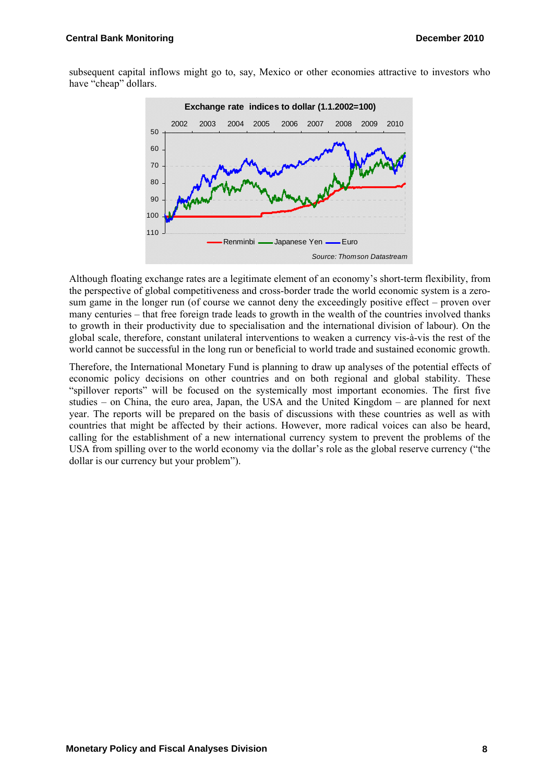subsequent capital inflows might go to, say, Mexico or other economies attractive to investors who have "cheap" dollars.



Although floating exchange rates are a legitimate element of an economy's short-term flexibility, from the perspective of global competitiveness and cross-border trade the world economic system is a zerosum game in the longer run (of course we cannot deny the exceedingly positive effect – proven over many centuries – that free foreign trade leads to growth in the wealth of the countries involved thanks to growth in their productivity due to specialisation and the international division of labour). On the global scale, therefore, constant unilateral interventions to weaken a currency vis-à-vis the rest of the world cannot be successful in the long run or beneficial to world trade and sustained economic growth.

Therefore, the International Monetary Fund is planning to draw up analyses of the potential effects of economic policy decisions on other countries and on both regional and global stability. These "spillover reports" will be focused on the systemically most important economies. The first five studies – on China, the euro area, Japan, the USA and the United Kingdom – are planned for next year. The reports will be prepared on the basis of discussions with these countries as well as with countries that might be affected by their actions. However, more radical voices can also be heard, calling for the establishment of a new international currency system to prevent the problems of the USA from spilling over to the world economy via the dollar's role as the global reserve currency ("the dollar is our currency but your problem").